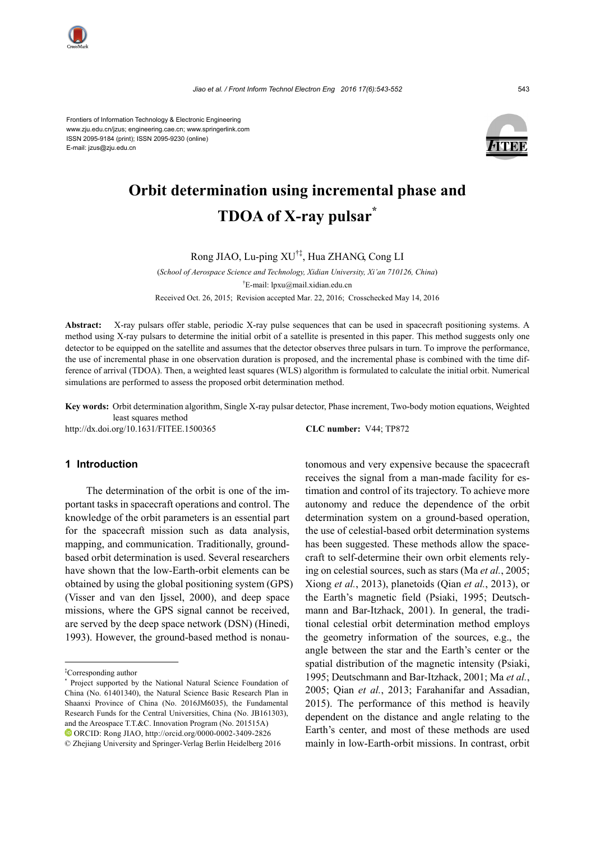



# **Orbit determination using incremental phase and TDOA of X-ray pulsar\***

Rong JIAO, Lu-ping XU†‡, Hua ZHANG, Cong LI

(*School of Aerospace Science and Technology, Xidian University, Xi'an 710126, China*) † E-mail: lpxu@mail.xidian.edu.cn Received Oct. 26, 2015; Revision accepted Mar. 22, 2016; Crosschecked May 14, 2016

**Abstract:** X-ray pulsars offer stable, periodic X-ray pulse sequences that can be used in spacecraft positioning systems. A method using X-ray pulsars to determine the initial orbit of a satellite is presented in this paper. This method suggests only one detector to be equipped on the satellite and assumes that the detector observes three pulsars in turn. To improve the performance, the use of incremental phase in one observation duration is proposed, and the incremental phase is combined with the time difference of arrival (TDOA). Then, a weighted least squares (WLS) algorithm is formulated to calculate the initial orbit. Numerical simulations are performed to assess the proposed orbit determination method.

**Key words:** Orbit determination algorithm, Single X-ray pulsar detector, Phase increment, Two-body motion equations, Weighted least squares method

http://dx.doi.org/10.1631/FITEE.1500365 **CLC number:** V44; TP872

www.zju.edu.cn/jzus; engineering.cae.cn; www.springerlink.com

ISSN 2095-9184 (print); ISSN 2095-9230 (online)

E-mail: jzus@zju.edu.cn

# **1 Introduction**

The determination of the orbit is one of the important tasks in spacecraft operations and control. The knowledge of the orbit parameters is an essential part for the spacecraft mission such as data analysis, mapping, and communication. Traditionally, groundbased orbit determination is used. Several researchers have shown that the low-Earth-orbit elements can be obtained by using the global positioning system (GPS) (Visser and van den Ijssel, 2000), and deep space missions, where the GPS signal cannot be received, are served by the deep space network (DSN) (Hinedi, 1993). However, the ground-based method is nonautonomous and very expensive because the spacecraft receives the signal from a man-made facility for estimation and control of its trajectory. To achieve more autonomy and reduce the dependence of the orbit determination system on a ground-based operation, the use of celestial-based orbit determination systems has been suggested. These methods allow the spacecraft to self-determine their own orbit elements relying on celestial sources, such as stars (Ma *et al.*, 2005; Xiong *et al.*, 2013), planetoids (Qian *et al.*, 2013), or the Earth's magnetic field (Psiaki, 1995; Deutschmann and Bar-Itzhack, 2001). In general, the traditional celestial orbit determination method employs the geometry information of the sources, e.g., the angle between the star and the Earth's center or the spatial distribution of the magnetic intensity (Psiaki, 1995; Deutschmann and Bar-Itzhack, 2001; Ma *et al.*, 2005; Qian *et al.*, 2013; Farahanifar and Assadian, 2015). The performance of this method is heavily dependent on the distance and angle relating to the Earth's center, and most of these methods are used mainly in low-Earth-orbit missions. In contrast, orbit

<sup>‡</sup> Corresponding author

<sup>\*</sup> Project supported by the National Natural Science Foundation of China (No. 61401340), the Natural Science Basic Research Plan in Shaanxi Province of China (No. 2016JM6035), the Fundamental Research Funds for the Central Universities, China (No. JB161303), and the Areospace T.T.&C. Innovation Program (No. 201515A) ORCID: Rong JIAO, http://orcid.org/0000-0002-3409-2826 © Zhejiang University and Springer-Verlag Berlin Heidelberg 2016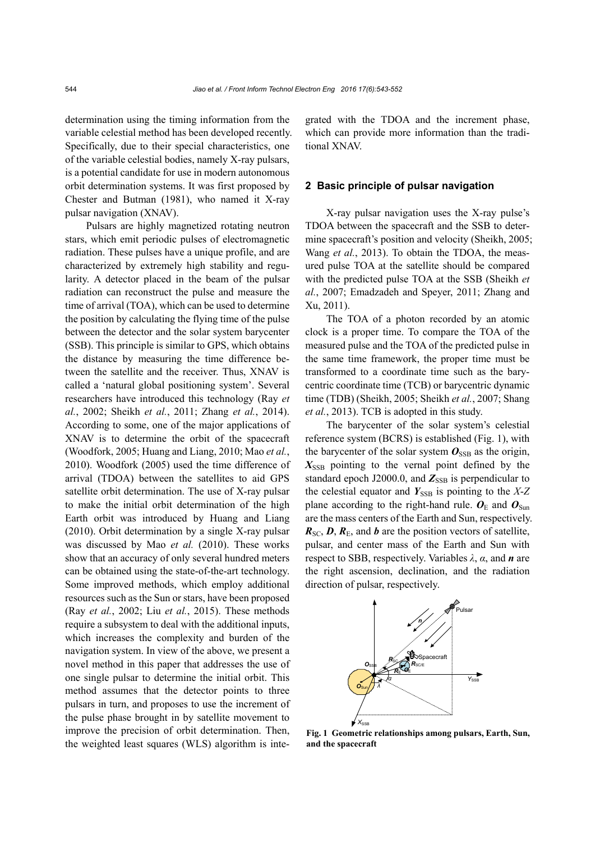determination using the timing information from the variable celestial method has been developed recently. Specifically, due to their special characteristics, one of the variable celestial bodies, namely X-ray pulsars, is a potential candidate for use in modern autonomous orbit determination systems. It was first proposed by Chester and Butman (1981), who named it X-ray pulsar navigation (XNAV).

Pulsars are highly magnetized rotating neutron stars, which emit periodic pulses of electromagnetic radiation. These pulses have a unique profile, and are characterized by extremely high stability and regularity. A detector placed in the beam of the pulsar radiation can reconstruct the pulse and measure the time of arrival (TOA), which can be used to determine the position by calculating the flying time of the pulse between the detector and the solar system barycenter (SSB). This principle is similar to GPS, which obtains the distance by measuring the time difference between the satellite and the receiver. Thus, XNAV is called a 'natural global positioning system'. Several researchers have introduced this technology (Ray *et al.*, 2002; Sheikh *et al.*, 2011; Zhang *et al.*, 2014). According to some, one of the major applications of XNAV is to determine the orbit of the spacecraft (Woodfork, 2005; Huang and Liang, 2010; Mao *et al.*, 2010). Woodfork (2005) used the time difference of arrival (TDOA) between the satellites to aid GPS satellite orbit determination. The use of X-ray pulsar to make the initial orbit determination of the high Earth orbit was introduced by Huang and Liang (2010). Orbit determination by a single X-ray pulsar was discussed by Mao *et al.* (2010). These works show that an accuracy of only several hundred meters can be obtained using the state-of-the-art technology. Some improved methods, which employ additional resources such as the Sun or stars, have been proposed (Ray *et al.*, 2002; Liu *et al.*, 2015). These methods require a subsystem to deal with the additional inputs, which increases the complexity and burden of the navigation system. In view of the above, we present a novel method in this paper that addresses the use of one single pulsar to determine the initial orbit. This method assumes that the detector points to three pulsars in turn, and proposes to use the increment of the pulse phase brought in by satellite movement to improve the precision of orbit determination. Then, the weighted least squares (WLS) algorithm is integrated with the TDOA and the increment phase, which can provide more information than the traditional XNAV.

### **2 Basic principle of pulsar navigation**

X-ray pulsar navigation uses the X-ray pulse's TDOA between the spacecraft and the SSB to determine spacecraft's position and velocity (Sheikh, 2005; Wang *et al.*, 2013). To obtain the TDOA, the measured pulse TOA at the satellite should be compared with the predicted pulse TOA at the SSB (Sheikh *et al.*, 2007; Emadzadeh and Speyer, 2011; Zhang and Xu, 2011).

The TOA of a photon recorded by an atomic clock is a proper time. To compare the TOA of the measured pulse and the TOA of the predicted pulse in the same time framework, the proper time must be transformed to a coordinate time such as the barycentric coordinate time (TCB) or barycentric dynamic time (TDB) (Sheikh, 2005; Sheikh *et al.*, 2007; Shang *et al.*, 2013). TCB is adopted in this study.

The barycenter of the solar system's celestial reference system (BCRS) is established (Fig. 1), with the barycenter of the solar system  $O_{SSB}$  as the origin,  $X<sub>SSB</sub>$  pointing to the vernal point defined by the standard epoch J2000.0, and  $Z_{SSB}$  is perpendicular to the celestial equator and  $Y_{SSB}$  is pointing to the  $X-Z$ plane according to the right-hand rule.  $\boldsymbol{O}_{\text{E}}$  and  $\boldsymbol{O}_{\text{Sun}}$ are the mass centers of the Earth and Sun, respectively.  $R_{SC}$ ,  $D$ ,  $R_E$ , and *b* are the position vectors of satellite, pulsar, and center mass of the Earth and Sun with respect to SBB, respectively. Variables *λ*, *α*, and *n* are the right ascension, declination, and the radiation direction of pulsar, respectively.



**Fig. 1 Geometric relationships among pulsars, Earth, Sun, and the spacecraft**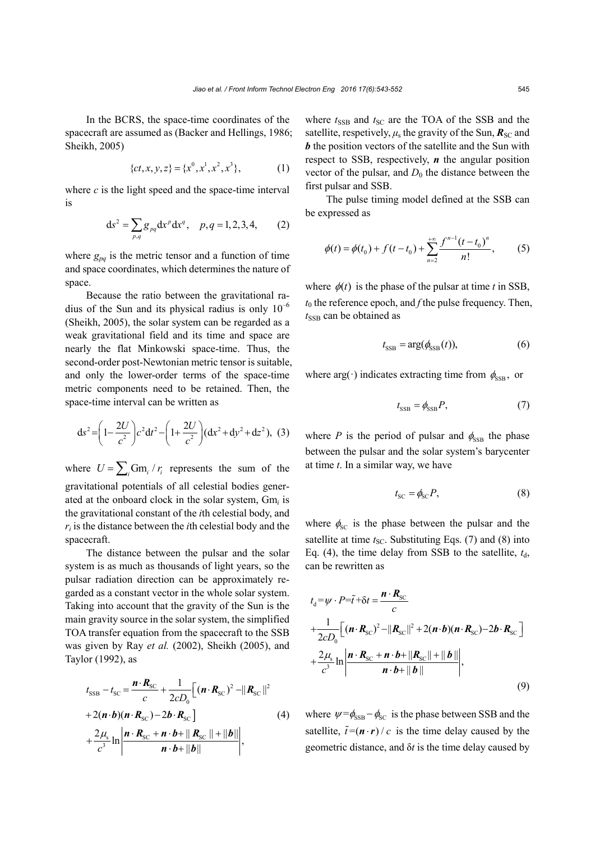In the BCRS, the space-time coordinates of the spacecraft are assumed as (Backer and Hellings, 1986; Sheikh, 2005)

$$
\{ct, x, y, z\} = \{x^0, x^1, x^2, x^3\},\tag{1}
$$

where  $c$  is the light speed and the space-time interval is

$$
ds^{2} = \sum_{p,q} g_{pq} dx^{p} dx^{q}, \quad p,q = 1,2,3,4,
$$
 (2)

where  $g_{pq}$  is the metric tensor and a function of time and space coordinates, which determines the nature of space.

Because the ratio between the gravitational radius of the Sun and its physical radius is only  $10^{-6}$ (Sheikh, 2005), the solar system can be regarded as a weak gravitational field and its time and space are nearly the flat Minkowski space-time. Thus, the second-order post-Newtonian metric tensor is suitable, and only the lower-order terms of the space-time metric components need to be retained. Then, the space-time interval can be written as

$$
ds^{2} = \left(1 - \frac{2U}{c^{2}}\right)c^{2}dt^{2} - \left(1 + \frac{2U}{c^{2}}\right)(dx^{2} + dy^{2} + dz^{2}), (3)
$$

where  $U = \sum_i Gm_i / r_i$  represents the sum of the gravitational potentials of all celestial bodies generated at the onboard clock in the solar system, Gm*i* is the gravitational constant of the *i*th celestial body, and *ri* is the distance between the *i*th celestial body and the spacecraft.

The distance between the pulsar and the solar system is as much as thousands of light years, so the pulsar radiation direction can be approximately regarded as a constant vector in the whole solar system. Taking into account that the gravity of the Sun is the main gravity source in the solar system, the simplified TOA transfer equation from the spacecraft to the SSB was given by Ray *et al.* (2002), Sheikh (2005), and Taylor (1992), as

$$
t_{\text{SSB}} - t_{\text{SC}} = \frac{\boldsymbol{n} \cdot \boldsymbol{R}_{\text{SC}}}{c} + \frac{1}{2cD_0} \Big[ (\boldsymbol{n} \cdot \boldsymbol{R}_{\text{SC}})^2 - ||\boldsymbol{R}_{\text{SC}}||^2
$$
  
+2(\boldsymbol{n} \cdot \boldsymbol{b})(\boldsymbol{n} \cdot \boldsymbol{R}\_{\text{SC}}) - 2\boldsymbol{b} \cdot \boldsymbol{R}\_{\text{SC}} \Big]   
+ \frac{2\mu\_{\text{s}}}{c^3} \ln \left| \frac{\boldsymbol{n} \cdot \boldsymbol{R}\_{\text{SC}} + \boldsymbol{n} \cdot \boldsymbol{b} + ||\boldsymbol{R}\_{\text{SC}}|| + ||\boldsymbol{b}||}{\boldsymbol{n} \cdot \boldsymbol{b} + ||\boldsymbol{b}||} \right|, \tag{4}

where  $t_{SSB}$  and  $t_{SC}$  are the TOA of the SSB and the satellite, respetively,  $\mu_s$  the gravity of the Sun,  $\mathbf{R}_{\text{SC}}$  and *b* the position vectors of the satellite and the Sun with respect to SSB, respectively, *n* the angular position vector of the pulsar, and  $D_0$  the distance between the first pulsar and SSB.

The pulse timing model defined at the SSB can be expressed as

$$
\phi(t) = \phi(t_0) + f(t - t_0) + \sum_{n=2}^{+\infty} \frac{f^{n-1}(t - t_0)^n}{n!},
$$
 (5)

where  $\phi(t)$  is the phase of the pulsar at time *t* in SSB,  $t_0$  the reference epoch, and  $f$  the pulse frequency. Then, *t*<sub>SSB</sub> can be obtained as

$$
t_{\text{SSB}} = \arg(\phi_{\text{SSB}}(t)),\tag{6}
$$

where arg( $\cdot$ ) indicates extracting time from  $\phi_{\text{SSB}}$ , or

$$
t_{\text{SSB}} = \phi_{\text{SSB}} P,\tag{7}
$$

where *P* is the period of pulsar and  $\phi_{\text{SSB}}$  the phase between the pulsar and the solar system's barycenter at time *t*. In a similar way, we have

$$
t_{\rm SC} = \phi_{\rm SC} P,\tag{8}
$$

where  $\phi_{\rm sc}$  is the phase between the pulsar and the satellite at time  $t_{SC}$ . Substituting Eqs. (7) and (8) into Eq. (4), the time delay from SSB to the satellite,  $t_d$ , can be rewritten as

$$
t_{\rm d} = \psi \cdot P = \tilde{t} + \delta t = \frac{n \cdot R_{\rm SC}}{c}
$$
  
+ 
$$
\frac{1}{2cD_0} \Big[ (n \cdot R_{\rm SC})^2 - ||R_{\rm SC}||^2 + 2(n \cdot b)(n \cdot R_{\rm SC}) - 2b \cdot R_{\rm SC} \Big]
$$
  
+ 
$$
\frac{2\mu_{\rm s}}{c^3} \ln \left| \frac{n \cdot R_{\rm SC} + n \cdot b + ||R_{\rm SC}|| + ||b||}{n \cdot b + ||b||} \right|,
$$
  
(9)

where  $\psi = \phi_{\text{SSB}} - \phi_{\text{SC}}$  is the phase between SSB and the satellite,  $\tilde{t} = (n \cdot r) / c$  is the time delay caused by the geometric distance, and δ*t* is the time delay caused by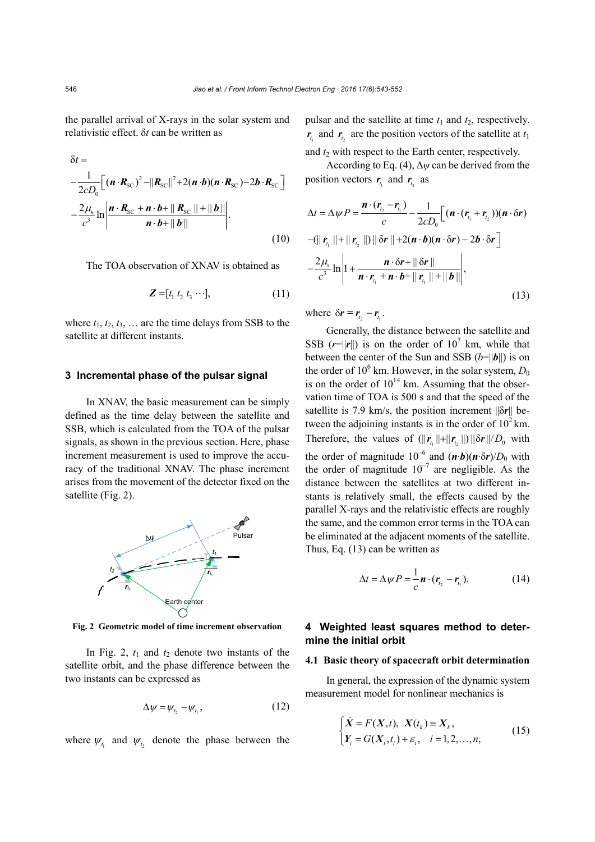the parallel arrival of X-rays in the solar system and relativistic effect. δ*t* can be written as

$$
\delta t =
$$
\n
$$
-\frac{1}{2cD_0} \Big[ (\boldsymbol{n} \cdot \boldsymbol{R}_{\rm SC})^2 - ||\boldsymbol{R}_{\rm SC}||^2 + 2(\boldsymbol{n} \cdot \boldsymbol{b})(\boldsymbol{n} \cdot \boldsymbol{R}_{\rm SC}) - 2\boldsymbol{b} \cdot \boldsymbol{R}_{\rm SC} \Big] - 2\mu_{\rm s} \ln \left| \frac{\boldsymbol{n} \cdot \boldsymbol{R}_{\rm SC} + \boldsymbol{n} \cdot \boldsymbol{b} + ||\boldsymbol{R}_{\rm SC}|| + ||\boldsymbol{b}||}{\boldsymbol{n} \cdot \boldsymbol{b} + ||\boldsymbol{b}||} \right].
$$
\n(10)

The TOA observation of XNAV is obtained as

$$
\mathbf{Z} = [t_1 \ t_2 \ t_3 \ \cdots], \tag{11}
$$

where  $t_1$ ,  $t_2$ ,  $t_3$ , ... are the time delays from SSB to the satellite at different instants.

## **3 Incremental phase of the pulsar signal**

In XNAV, the basic measurement can be simply defined as the time delay between the satellite and SSB, which is calculated from the TOA of the pulsar signals, as shown in the previous section. Here, phase increment measurement is used to improve the accuracy of the traditional XNAV. The phase increment arises from the movement of the detector fixed on the satellite (Fig. 2).



**Fig. 2 Geometric model of time increment observation**

In Fig. 2,  $t_1$  and  $t_2$  denote two instants of the satellite orbit, and the phase difference between the two instants can be expressed as

$$
\Delta \psi = \psi_{t_2} - \psi_{t_1},\tag{12}
$$

where  $\psi_{t_i}$  and  $\psi_{t_i}$  denote the phase between the

pulsar and the satellite at time  $t_1$  and  $t_2$ , respectively.  $r_{t_1}$  and  $r_{t_2}$  are the position vectors of the satellite at  $t_1$ 

and  $t_2$  with respect to the Earth center, respectively. According to Eq. (4),  $\Delta \psi$  can be derived from the

$$
\Delta t = \Delta \psi P = \frac{\boldsymbol{n} \cdot (\boldsymbol{r}_{t_2} - \boldsymbol{r}_{t_1})}{c} - \frac{1}{2cD_0} \Big[ (\boldsymbol{n} \cdot (\boldsymbol{r}_{t_1} + \boldsymbol{r}_{t_2})) (\boldsymbol{n} \cdot \delta \boldsymbol{r})
$$
  
\n
$$
-(\|\boldsymbol{r}_{t_1}\| + \|\boldsymbol{r}_{t_2}\|) \|\delta \boldsymbol{r}\| + 2(\boldsymbol{n} \cdot \boldsymbol{b}) (\boldsymbol{n} \cdot \delta \boldsymbol{r}) - 2\boldsymbol{b} \cdot \delta \boldsymbol{r} \Big]
$$
  
\n
$$
-\frac{2\mu_s}{c^3} \ln \Bigg| 1 + \frac{\boldsymbol{n} \cdot \delta \boldsymbol{r} + \|\delta \boldsymbol{r}\|}{\boldsymbol{n} \cdot \boldsymbol{r}_{t_1} + \boldsymbol{n} \cdot \boldsymbol{b} + \|\boldsymbol{r}_{t_1}\| + \|\boldsymbol{b}\|} \Bigg|,
$$
\n(13)

where  $\delta r = r_{t_2} - r_{t_1}$ .

position vectors  $r_{t_1}$  and  $r_{t_2}$  as

Generally, the distance between the satellite and SSB  $(r=||r||)$  is on the order of 10<sup>7</sup> km, while that between the center of the Sun and SSB  $(b=||b||)$  is on the order of  $10^6$  km. However, in the solar system,  $D_0$ is on the order of  $10^{14}$  km. Assuming that the observation time of TOA is 500 s and that the speed of the satellite is 7.9 km/s, the position increment ||δ*r*|| between the adjoining instants is in the order of  $10^2$  km. Therefore, the values of  $(||\mathbf{r}_{t}|| + ||\mathbf{r}_{t}||) ||\delta \mathbf{r}|| / D_0$  with the order of magnitude  $10^{-6}$  and  $(\mathbf{n} \cdot \mathbf{b})(\mathbf{n} \cdot \delta \mathbf{r})/D_0$  with the order of magnitude  $10^{-7}$  are negligible. As the distance between the satellites at two different instants is relatively small, the effects caused by the parallel X-rays and the relativistic effects are roughly the same, and the common error terms in the TOA can be eliminated at the adjacent moments of the satellite. Thus, Eq. (13) can be written as

$$
\Delta t = \Delta \psi P = \frac{1}{c} \boldsymbol{n} \cdot (\boldsymbol{r}_{t_2} - \boldsymbol{r}_{t_1}). \tag{14}
$$

# **4 Weighted least squares method to determine the initial orbit**

## **4.1 Basic theory of spacecraft orbit determination**

In general, the expression of the dynamic system measurement model for nonlinear mechanics is

$$
\begin{cases}\n\dot{X} = F(X, t), \ X(t_k) \equiv X_k, \\
Y_i = G(X_i, t_i) + \varepsilon_i, \quad i = 1, 2, ..., n,\n\end{cases}
$$
\n(15)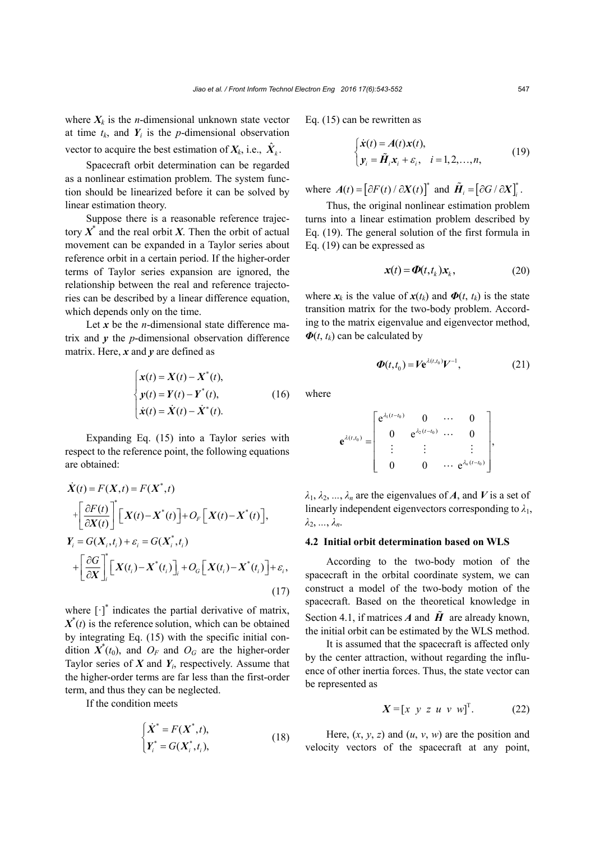where  $X_k$  is the *n*-dimensional unknown state vector at time  $t_k$ , and  $Y_i$  is the *p*-dimensional observation vector to acquire the best estimation of  $X_k$ , i.e.,  $\hat{X}_k$ .

Spacecraft orbit determination can be regarded as a nonlinear estimation problem. The system function should be linearized before it can be solved by linear estimation theory.

Suppose there is a reasonable reference trajectory  $X^*$  and the real orbit *X*. Then the orbit of actual movement can be expanded in a Taylor series about reference orbit in a certain period. If the higher-order terms of Taylor series expansion are ignored, the relationship between the real and reference trajectories can be described by a linear difference equation, which depends only on the time.

Let *x* be the *n*-dimensional state difference matrix and  $\nu$  the *p*-dimensional observation difference matrix. Here,  $x$  and  $y$  are defined as

$$
\begin{cases}\n\mathbf{x}(t) = \mathbf{X}(t) - \mathbf{X}^*(t), \\
\mathbf{y}(t) = \mathbf{Y}(t) - \mathbf{Y}^*(t), \\
\dot{\mathbf{x}}(t) = \dot{\mathbf{X}}(t) - \dot{\mathbf{X}}^*(t).\n\end{cases}
$$
\n(16)

Expanding Eq. (15) into a Taylor series with respect to the reference point, the following equations are obtained:

$$
\dot{X}(t) = F(X,t) = F(X^*,t)
$$
\n
$$
+ \left[ \frac{\partial F(t)}{\partial X(t)} \right]^* \left[ X(t) - X^*(t) \right] + O_F \left[ X(t) - X^*(t) \right],
$$
\n
$$
Y_i = G(X_i, t_i) + \varepsilon_i = G(X_i^*, t_i)
$$
\n
$$
+ \left[ \frac{\partial G}{\partial X} \right]_i^* \left[ X(t_i) - X^*(t_i) \right]_i + O_G \left[ X(t_i) - X^*(t_i) \right] + \varepsilon_i,
$$
\n(17)

where  $\begin{bmatrix} \cdot \end{bmatrix}^*$  indicates the partial derivative of matrix,  $X^*(t)$  is the reference solution, which can be obtained by integrating Eq. (15) with the specific initial condition  $X^*(t_0)$ , and  $O_F$  and  $O_G$  are the higher-order Taylor series of  $X$  and  $Y_i$ , respectively. Assume that the higher-order terms are far less than the first-order term, and thus they can be neglected.

If the condition meets

$$
\begin{cases}\n\dot{X}^* = F(X^*, t), \\
Y_i^* = G(X_i^*, t_i),\n\end{cases}
$$
\n(18)

Eq. (15) can be rewritten as

$$
\begin{cases}\n\dot{\mathbf{x}}(t) = A(t)\mathbf{x}(t), \\
\mathbf{y}_i = \tilde{\boldsymbol{H}}_i \mathbf{x}_i + \varepsilon_i, \quad i = 1, 2, \dots, n,\n\end{cases} \tag{19}
$$

where  $A(t) = [\partial F(t) / \partial X(t)]^*$  and  $\tilde{H}_i = [\partial G / \partial X]_i^*$ .

Thus, the original nonlinear estimation problem turns into a linear estimation problem described by Eq. (19). The general solution of the first formula in Eq. (19) can be expressed as

$$
\mathbf{x}(t) = \mathbf{\Phi}(t, t_k) \mathbf{x}_k, \tag{20}
$$

where  $x_k$  is the value of  $x(t_k)$  and  $\Phi(t, t_k)$  is the state transition matrix for the two-body problem. According to the matrix eigenvalue and eigenvector method,  $\Phi(t, t_k)$  can be calculated by

$$
\boldsymbol{\Phi}(t,t_0) = V \mathbf{e}^{\lambda(t,t_0)} V^{-1}, \qquad (21)
$$

where

$$
\mathbf{e}^{\lambda(t,t_0)} = \begin{bmatrix} e^{\lambda_1(t-t_0)} & 0 & \cdots & 0 \\ 0 & e^{\lambda_2(t-t_0)} & \cdots & 0 \\ \vdots & \vdots & & \vdots \\ 0 & 0 & \cdots & e^{\lambda_n(t-t_0)} \end{bmatrix},
$$

 $\lambda_1, \lambda_2, \ldots, \lambda_n$  are the eigenvalues of *A*, and *V* is a set of linearly independent eigenvectors corresponding to  $\lambda_1$ , *λ*2, *...*, *λn*.

### **4.2 Initial orbit determination based on WLS**

According to the two-body motion of the spacecraft in the orbital coordinate system, we can construct a model of the two-body motion of the spacecraft. Based on the theoretical knowledge in Section 4.1, if matrices *A* and  $\tilde{H}$  are already known, the initial orbit can be estimated by the WLS method.

It is assumed that the spacecraft is affected only by the center attraction, without regarding the influence of other inertia forces. Thus, the state vector can be represented as

$$
X = [x \ y \ z \ u \ v \ w]^T. \tag{22}
$$

Here,  $(x, y, z)$  and  $(u, v, w)$  are the position and velocity vectors of the spacecraft at any point,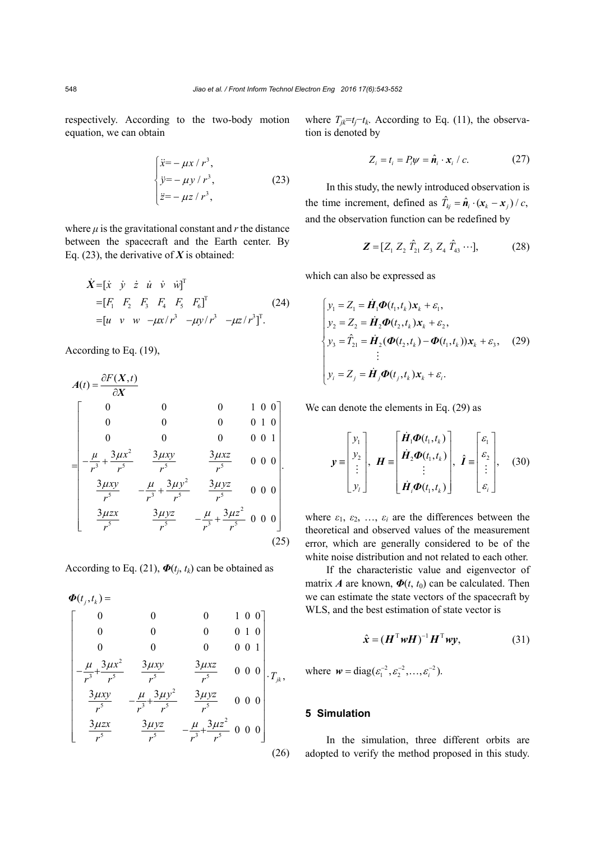respectively. According to the two-body motion equation, we can obtain

$$
\begin{cases}\n\ddot{x} = -\mu x / r^3, \\
\ddot{y} = -\mu y / r^3, \\
\ddot{z} = -\mu z / r^3,\n\end{cases}
$$
\n(23)

where  $\mu$  is the gravitational constant and  $r$  the distance between the spacecraft and the Earth center. By Eq.  $(23)$ , the derivative of *X* is obtained:

$$
\dot{X} = [\dot{x} \quad \dot{y} \quad \dot{z} \quad \dot{u} \quad \dot{v} \quad \dot{w}]^{T}
$$
  
=  $[F_1 \quad F_2 \quad F_3 \quad F_4 \quad F_5 \quad F_6]^T$   
=  $[\dot{u} \quad v \quad w \quad -\mu x/r^3 \quad -\mu y/r^3 \quad -\mu z/r^3]^{T}$ . (24)

According to Eq. (19),

$$
A(t) = \frac{\partial F(X, t)}{\partial X}
$$
  
\n
$$
= \begin{bmatrix}\n0 & 0 & 0 & 1 & 0 & 0 \\
0 & 0 & 0 & 0 & 0 & 1 & 0 \\
-\frac{\mu}{r^3} + \frac{3\mu x^2}{r^5} & \frac{3\mu xy}{r^5} & \frac{3\mu xz}{r^5} & 0 & 0 & 0 \\
\frac{3\mu xy}{r^5} & -\frac{\mu}{r^3} + \frac{3\mu y^2}{r^5} & \frac{3\mu yz}{r^5} & 0 & 0 & 0 \\
\frac{3\mu zx}{r^5} & \frac{3\mu yz}{r^5} & -\frac{\mu}{r^3} + \frac{3\mu z^2}{r^5} & 0 & 0 & 0\n\end{bmatrix}
$$
  
\n
$$
(25)
$$

According to Eq. (21),  $\boldsymbol{\Phi}(t_i, t_k)$  can be obtained as

$$
\Phi(t_j, t_k) = \begin{bmatrix}\n0 & 0 & 0 & 1 & 0 & 0 \\
0 & 0 & 0 & 0 & 1 & 0 \\
0 & 0 & 0 & 0 & 0 & 1 \\
-\frac{\mu}{r^3} + \frac{3\mu x^2}{r^5} & \frac{3\mu xy}{r^5} & \frac{3\mu xz}{r^5} & 0 & 0 & 0 \\
\frac{3\mu xy}{r^5} & -\frac{\mu}{r^3} + \frac{3\mu y^2}{r^5} & \frac{3\mu yz}{r^5} & 0 & 0 & 0 \\
\frac{3\mu zx}{r^5} & \frac{3\mu yz}{r^5} & -\frac{\mu}{r^3} + \frac{3\mu z^2}{r^5} & 0 & 0 & 0\n\end{bmatrix} \cdot T_{jk},
$$
\n(26)

where  $T_{jk}$ = $t_j$ − $t_k$ . According to Eq. (11), the observation is denoted by

$$
Z_i = t_i = P_i \psi = \hat{\boldsymbol{n}}_i \cdot \boldsymbol{x}_i / c. \qquad (27)
$$

In this study, the newly introduced observation is the time increment, defined as  $\hat{T}_{kj} = \hat{n}_i \cdot (\mathbf{x}_k - \mathbf{x}_j) / c$ , and the observation function can be redefined by

$$
\mathbf{Z} = [Z_1 \, Z_2 \, \hat{T}_{21} \, Z_3 \, Z_4 \, \hat{T}_{43} \cdots], \tag{28}
$$

which can also be expressed as

$$
\begin{cases}\ny_1 = Z_1 = \dot{H}_1 \Phi(t_1, t_k) x_k + \varepsilon_1, \\
y_2 = Z_2 = \dot{H}_2 \Phi(t_2, t_k) x_k + \varepsilon_2, \\
y_3 = \hat{T}_{21} = \dot{H}_2 (\Phi(t_2, t_k) - \Phi(t_1, t_k)) x_k + \varepsilon_3, \\
\vdots \\
y_i = Z_j = \dot{H}_j \Phi(t_j, t_k) x_k + \varepsilon_i.\n\end{cases}
$$
\n(29)

We can denote the elements in Eq. (29) as

$$
\mathbf{y} = \begin{bmatrix} y_1 \\ y_2 \\ \vdots \\ y_l \end{bmatrix}, \ \mathbf{H} = \begin{bmatrix} \mathbf{\dot{H}}_1 \boldsymbol{\Phi}(t_1, t_k) \\ \mathbf{\dot{H}}_2 \boldsymbol{\Phi}(t_1, t_k) \\ \vdots \\ \mathbf{\dot{H}}_i \boldsymbol{\Phi}(t_1, t_k) \end{bmatrix}, \ \hat{\boldsymbol{I}} = \begin{bmatrix} \varepsilon_1 \\ \varepsilon_2 \\ \vdots \\ \varepsilon_i \end{bmatrix}, \quad (30)
$$

where  $\varepsilon_1$ ,  $\varepsilon_2$ , ...,  $\varepsilon_i$  are the differences between the theoretical and observed values of the measurement error, which are generally considered to be of the white noise distribution and not related to each other.

If the characteristic value and eigenvector of matrix *A* are known,  $\Phi(t, t_0)$  can be calculated. Then we can estimate the state vectors of the spacecraft by WLS, and the best estimation of state vector is

$$
\hat{\mathbf{x}} = (\boldsymbol{H}^{\mathrm{T}} \boldsymbol{w} \boldsymbol{H})^{-1} \boldsymbol{H}^{\mathrm{T}} \boldsymbol{w} \mathbf{y},
$$
(31)

where  $w = diag(\varepsilon_1^{-2}, \varepsilon_2^{-2}, \dots, \varepsilon_i^{-2})$ .

## **5 Simulation**

In the simulation, three different orbits are adopted to verify the method proposed in this study.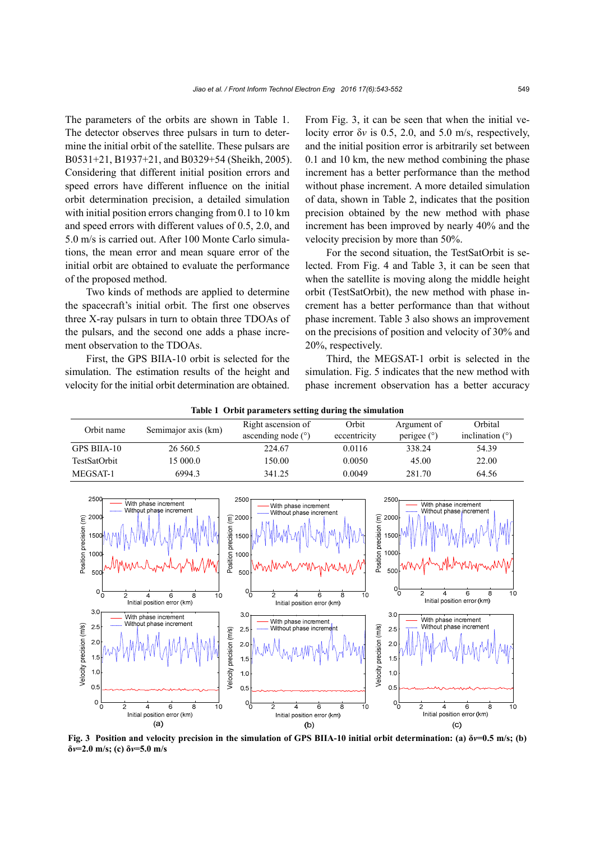The parameters of the orbits are shown in Table 1. The detector observes three pulsars in turn to determine the initial orbit of the satellite. These pulsars are B0531+21, B1937+21, and B0329+54 (Sheikh, 2005). Considering that different initial position errors and speed errors have different influence on the initial orbit determination precision, a detailed simulation with initial position errors changing from 0.1 to 10 km and speed errors with different values of 0.5, 2.0, and 5.0 m/s is carried out. After 100 Monte Carlo simulations, the mean error and mean square error of the initial orbit are obtained to evaluate the performance of the proposed method.

Two kinds of methods are applied to determine the spacecraft's initial orbit. The first one observes three X-ray pulsars in turn to obtain three TDOAs of the pulsars, and the second one adds a phase increment observation to the TDOAs.

First, the GPS BIIA-10 orbit is selected for the simulation. The estimation results of the height and velocity for the initial orbit determination are obtained.

From Fig. 3, it can be seen that when the initial velocity error δ*v* is 0.5, 2.0, and 5.0 m/s, respectively, and the initial position error is arbitrarily set between 0.1 and 10 km, the new method combining the phase increment has a better performance than the method without phase increment. A more detailed simulation of data, shown in Table 2, indicates that the position precision obtained by the new method with phase increment has been improved by nearly 40% and the velocity precision by more than 50%.

For the second situation, the TestSatOrbit is selected. From Fig. 4 and Table 3, it can be seen that when the satellite is moving along the middle height orbit (TestSatOrbit), the new method with phase increment has a better performance than that without phase increment. Table 3 also shows an improvement on the precisions of position and velocity of 30% and 20%, respectively.

Third, the MEGSAT-1 orbit is selected in the simulation. Fig. 5 indicates that the new method with phase increment observation has a better accuracy

| <b>Table 1 Orbit parameters setting during the simulation</b> |                     |                      |                               |                   |         |  |  |  |  |
|---------------------------------------------------------------|---------------------|----------------------|-------------------------------|-------------------|---------|--|--|--|--|
| Orbit name                                                    | Semimajor axis (km) | Right ascension of   | Orbit                         | Argument of       | Orbital |  |  |  |  |
|                                                               |                     | ascending node $(°)$ | perigee $(°)$<br>eccentricity | inclination $(°)$ |         |  |  |  |  |
| GPS BIIA-10                                                   | 26 5 6 0.5          | 224.67               | 0.0116                        | 338.24            | 54.39   |  |  |  |  |
| TestSatOrbit                                                  | 15 000.0            | 150.00               | 0.0050                        | 45.00             | 22.00   |  |  |  |  |
| MEGSAT-1                                                      | 6994.3              | 341.25               | 0.0049                        | 281.70            | 64.56   |  |  |  |  |

**Table 1 Orbit parameters setting during the simulation** 



**Fig. 3 Position and velocity precision in the simulation of GPS BIIA-10 initial orbit determination: (a) δ***v***=0.5 m/s; (b) δ***v***=2.0 m/s; (c) δ***v***=5.0 m/s**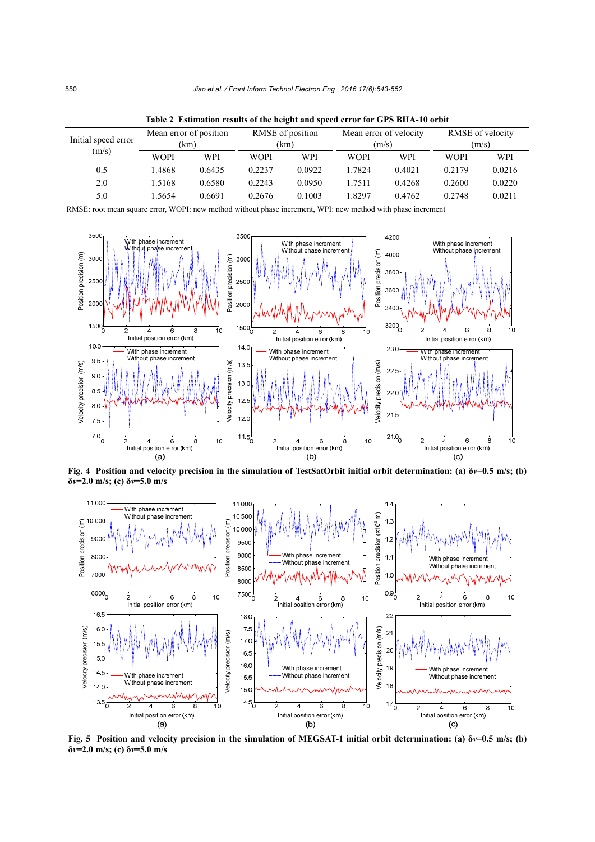| Initial speed error<br>(m/s) | Mean error of position<br>(km |        | RMSE of position<br>(km) |        | Mean error of velocity<br>(m/s) |        | RMSE of velocity<br>(m/s) |        |
|------------------------------|-------------------------------|--------|--------------------------|--------|---------------------------------|--------|---------------------------|--------|
|                              | <b>WOPI</b>                   | WPI    | <b>WOPI</b>              | WPI    | <b>WOPI</b>                     | WPI    | <b>WOPI</b>               | WPI    |
| 0.5                          | 1.4868                        | 0.6435 | 0.2237                   | 0.0922 | 1.7824                          | 0.4021 | 0.2179                    | 0.0216 |
| 2.0                          | 1.5168                        | 0.6580 | 0.2243                   | 0.0950 | 1.7511                          | 0.4268 | 0.2600                    | 0.0220 |
| 5.0                          | 1.5654                        | 0.6691 | 0.2676                   | 0.1003 | 1.8297                          | 0.4762 | 0.2748                    | 0.0211 |

**Table 2 Estimation results of the height and speed error for GPS BIIA-10 orbit** 

RMSE: root mean square error, WOPI: new method without phase increment, WPI: new method with phase increment



**Fig. 4 Position and velocity precision in the simulation of TestSatOrbit initial orbit determination: (a) δ***v***=0.5 m/s; (b) δ***v***=2.0 m/s; (c) δ***v***=5.0 m/s**



**Fig. 5 Position and velocity precision in the simulation of MEGSAT-1 initial orbit determination: (a) δ***v***=0.5 m/s; (b) δ***v***=2.0 m/s; (c) δ***v***=5.0 m/s**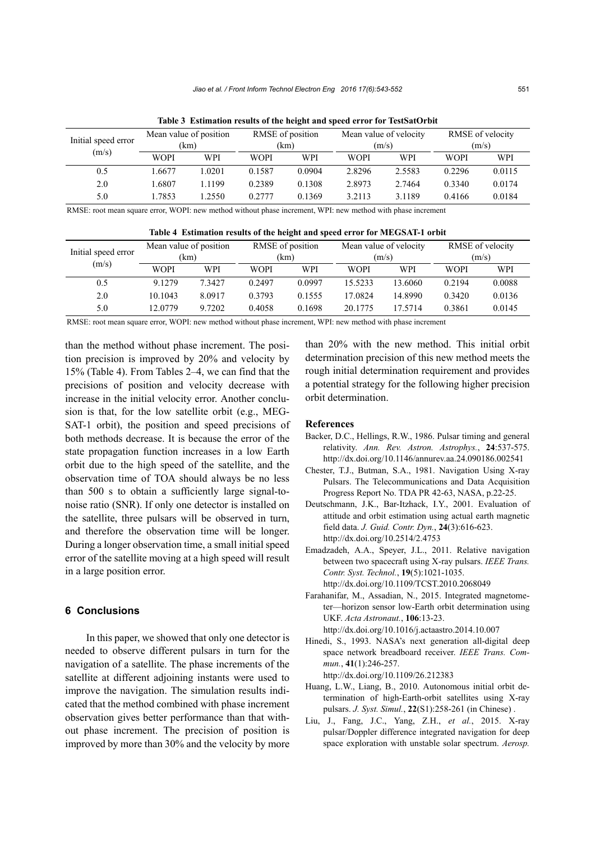| Initial speed error<br>(m/s) | Mean value of position<br>(km) |        | RMSE of position<br>(km) |        | Mean value of velocity<br>(m/s) |        | RMSE of velocity<br>(m/s) |        |
|------------------------------|--------------------------------|--------|--------------------------|--------|---------------------------------|--------|---------------------------|--------|
|                              | WOPI                           | WPI    | <b>WOPI</b>              | WPI    | <b>WOPI</b>                     | WPI    | <b>WOPI</b>               | WPI    |
| 0.5                          | 1.6677                         | 1.0201 | 0.1587                   | 0.0904 | 2.8296                          | 2.5583 | 0.2296                    | 0.0115 |
| 2.0                          | 1.6807                         | 1.1199 | 0.2389                   | 0.1308 | 2.8973                          | 2.7464 | 0.3340                    | 0.0174 |
| 5.0                          | 1.7853                         | .2550  | 0.2777                   | 0.1369 | 3.2113                          | 3.1189 | 0.4166                    | 0.0184 |

**Table 3 Estimation results of the height and speed error for TestSatOrbit** 

RMSE: root mean square error, WOPI: new method without phase increment, WPI: new method with phase increment

| Table 4 Estimation results of the height and speed error for MEGSAT-1 orbit |                                |        |                          |        |                                 |            |                           |            |  |
|-----------------------------------------------------------------------------|--------------------------------|--------|--------------------------|--------|---------------------------------|------------|---------------------------|------------|--|
| Initial speed error<br>(m/s)                                                | Mean value of position<br>(km) |        | RMSE of position<br>(km) |        | Mean value of velocity<br>(m/s) |            | RMSE of velocity<br>(m/s) |            |  |
|                                                                             | <b>WOPI</b>                    | WPI    | <b>WOPI</b>              | WPI    | <b>WOPI</b>                     | <b>WPI</b> | <b>WOPI</b>               | <b>WPI</b> |  |
| 0.5                                                                         | 9.1279                         | 7.3427 | 0.2497                   | 0.0997 | 15.5233                         | 13.6060    | 0.2194                    | 0.0088     |  |
| 2.0                                                                         | 10.1043                        | 8.0917 | 0.3793                   | 0.1555 | 17.0824                         | 14.8990    | 0.3420                    | 0.0136     |  |
| 5.0                                                                         | 12.0779                        | 9.7202 | 0.4058                   | 0.1698 | 20.1775                         | 17 57 14   | 0.3861                    | 0.0145     |  |

RMSE: root mean square error, WOPI: new method without phase increment, WPI: new method with phase increment

than the method without phase increment. The position precision is improved by 20% and velocity by 15% (Table 4). From Tables 2–4, we can find that the precisions of position and velocity decrease with increase in the initial velocity error. Another conclusion is that, for the low satellite orbit (e.g., MEG-SAT-1 orbit), the position and speed precisions of both methods decrease. It is because the error of the state propagation function increases in a low Earth orbit due to the high speed of the satellite, and the observation time of TOA should always be no less than 500 s to obtain a sufficiently large signal-tonoise ratio (SNR). If only one detector is installed on the satellite, three pulsars will be observed in turn, and therefore the observation time will be longer. During a longer observation time, a small initial speed error of the satellite moving at a high speed will result in a large position error.

# **6 Conclusions**

In this paper, we showed that only one detector is needed to observe different pulsars in turn for the navigation of a satellite. The phase increments of the satellite at different adjoining instants were used to improve the navigation. The simulation results indicated that the method combined with phase increment observation gives better performance than that without phase increment. The precision of position is improved by more than 30% and the velocity by more than 20% with the new method. This initial orbit determination precision of this new method meets the rough initial determination requirement and provides a potential strategy for the following higher precision orbit determination.

#### **References**

- Backer, D.C., Hellings, R.W., 1986. Pulsar timing and general relativity. *Ann. Rev. Astron. Astrophys.*, **24**:537-575. http://dx.doi.org/10.1146/annurev.aa.24.090186.002541
- Chester, T.J., Butman, S.A., 1981. Navigation Using X-ray Pulsars. The Telecommunications and Data Acquisition Progress Report No. TDA PR 42-63, NASA, p.22-25.
- Deutschmann, J.K., Bar-Itzhack, I.Y., 2001. Evaluation of attitude and orbit estimation using actual earth magnetic field data. *J. Guid. Contr. Dyn.*, **24**(3):616-623. http://dx.doi.org/10.2514/2.4753
- Emadzadeh, A.A., Speyer, J.L., 2011. Relative navigation between two spacecraft using X-ray pulsars. *IEEE Trans. Contr. Syst. Technol.*, **19**(5):1021-1035. http://dx.doi.org/10.1109/TCST.2010.2068049
- Farahanifar, M., Assadian, N., 2015. Integrated magnetometer—horizon sensor low-Earth orbit determination using UKF. *Acta Astronaut.*, **106**:13-23. http://dx.doi.org/10.1016/j.actaastro.2014.10.007
- Hinedi, S., 1993. NASA's next generation all-digital deep space network breadboard receiver. *IEEE Trans. Commun.*, **41**(1):246-257.

http://dx.doi.org/10.1109/26.212383

- Huang, L.W., Liang, B., 2010. Autonomous initial orbit determination of high-Earth-orbit satellites using X-ray pulsars. *J. Syst. Simul.*, **22**(S1):258-261 (in Chinese) .
- Liu, J., Fang, J.C., Yang, Z.H., *et al.*, 2015. X-ray pulsar/Doppler difference integrated navigation for deep space exploration with unstable solar spectrum. *Aerosp.*